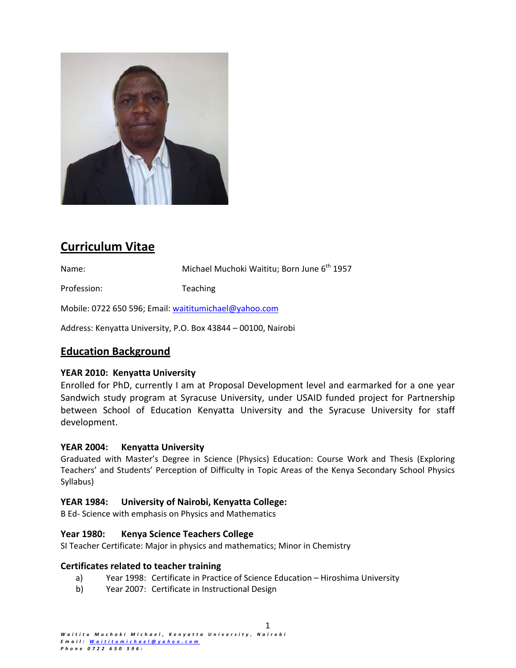

# **Curriculum Vitae**

Name: Michael Muchoki Waititu; Born June 6th 1957

Profession: Teaching

Mobile: 0722 650 596; Email: waititumichael@yahoo.com

Address: Kenyatta University, P.O. Box 43844 – 00100, Nairobi

## **Education Background**

## **YEAR 2010: Kenyatta University**

Enrolled for PhD, currently I am at Proposal Development level and earmarked for a one year Sandwich study program at Syracuse University, under USAID funded project for Partnership between School of Education Kenyatta University and the Syracuse University for staff development.

### **YEAR 2004: Kenyatta University**

Graduated with Master's Degree in Science (Physics) Education: Course Work and Thesis (Exploring Teachers' and Students' Perception of Difficulty in Topic Areas of the Kenya Secondary School Physics Syllabus)

### **YEAR 1984: University of Nairobi, Kenyatta College:**

B Ed‐ Science with emphasis on Physics and Mathematics

### **Year 1980: Kenya Science Teachers College**

SI Teacher Certificate: Major in physics and mathematics; Minor in Chemistry

### **Certificates related to teacher training**

- a) Year 1998: Certificate in Practice of Science Education Hiroshima University
- b) Year 2007: Certificate in Instructional Design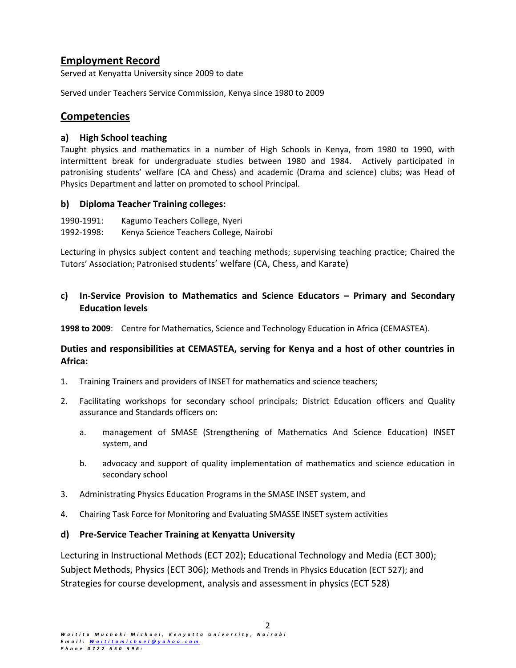## **Employment Record**

Served at Kenyatta University since 2009 to date

Served under Teachers Service Commission, Kenya since 1980 to 2009

## **Competencies**

## **a) High School teaching**

Taught physics and mathematics in a number of High Schools in Kenya, from 1980 to 1990, with intermittent break for undergraduate studies between 1980 and 1984. Actively participated in patronising students' welfare (CA and Chess) and academic (Drama and science) clubs; was Head of Physics Department and latter on promoted to school Principal.

## **b) Diploma Teacher Training colleges:**

1990‐1991: Kagumo Teachers College, Nyeri 1992‐1998: Kenya Science Teachers College, Nairobi

Lecturing in physics subject content and teaching methods; supervising teaching practice; Chaired the Tutors' Association; Patronised students' welfare (CA, Chess, and Karate)

## **c) In‐Service Provision to Mathematics and Science Educators – Primary and Secondary Education levels**

**1998 to 2009**: Centre for Mathematics, Science and Technology Education in Africa (CEMASTEA).

## **Duties and responsibilities at CEMASTEA, serving for Kenya and a host of other countries in Africa:**

- 1. Training Trainers and providers of INSET for mathematics and science teachers;
- 2. Facilitating workshops for secondary school principals; District Education officers and Quality assurance and Standards officers on:
	- a. management of SMASE (Strengthening of Mathematics And Science Education) INSET system, and
	- b. advocacy and support of quality implementation of mathematics and science education in secondary school
- 3. Administrating Physics Education Programs in the SMASE INSET system, and
- 4. Chairing Task Force for Monitoring and Evaluating SMASSE INSET system activities

## **d) Pre‐Service Teacher Training at Kenyatta University**

Lecturing in Instructional Methods (ECT 202); Educational Technology and Media (ECT 300); Subject Methods, Physics (ECT 306); Methods and Trends in Physics Education (ECT 527); and Strategies for course development, analysis and assessment in physics (ECT 528)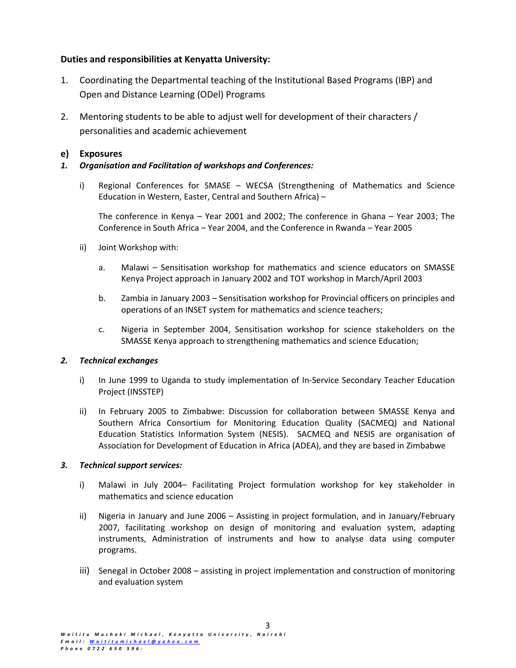## **Duties and responsibilities at Kenyatta University:**

- 1. Coordinating the Departmental teaching of the Institutional Based Programs (IBP) and Open and Distance Learning (ODel) Programs
- 2. Mentoring students to be able to adjust well for development of their characters / personalities and academic achievement

## **e) Exposures**

## *1. Organisation and Facilitation of workshops and Conferences:*

i) Regional Conferences for SMASE – WECSA (Strengthening of Mathematics and Science Education in Western, Easter, Central and Southern Africa) –

The conference in Kenya – Year 2001 and 2002; The conference in Ghana – Year 2003; The Conference in South Africa – Year 2004, and the Conference in Rwanda – Year 2005

- ii) Joint Workshop with:
	- a. Malawi Sensitisation workshop for mathematics and science educators on SMASSE Kenya Project approach in January 2002 and TOT workshop in March/April 2003
	- b. Zambia in January 2003 Sensitisation workshop for Provincial officers on principles and operations of an INSET system for mathematics and science teachers;
	- c. Nigeria in September 2004, Sensitisation workshop for science stakeholders on the SMASSE Kenya approach to strengthening mathematics and science Education;

### *2. Technical exchanges*

- i) In June 1999 to Uganda to study implementation of In-Service Secondary Teacher Education Project (INSSTEP)
- ii) In February 2005 to Zimbabwe: Discussion for collaboration between SMASSE Kenya and Southern Africa Consortium for Monitoring Education Quality (SACMEQ) and National Education Statistics Information System (NESIS). SACMEQ and NESIS are organisation of Association for Development of Education in Africa (ADEA), and they are based in Zimbabwe

### *3. Technical support services:*

- i) Malawi in July 2004– Facilitating Project formulation workshop for key stakeholder in mathematics and science education
- ii) Nigeria in January and June 2006 Assisting in project formulation, and in January/February 2007, facilitating workshop on design of monitoring and evaluation system, adapting instruments, Administration of instruments and how to analyse data using computer programs.
- iii) Senegal in October 2008 assisting in project implementation and construction of monitoring and evaluation system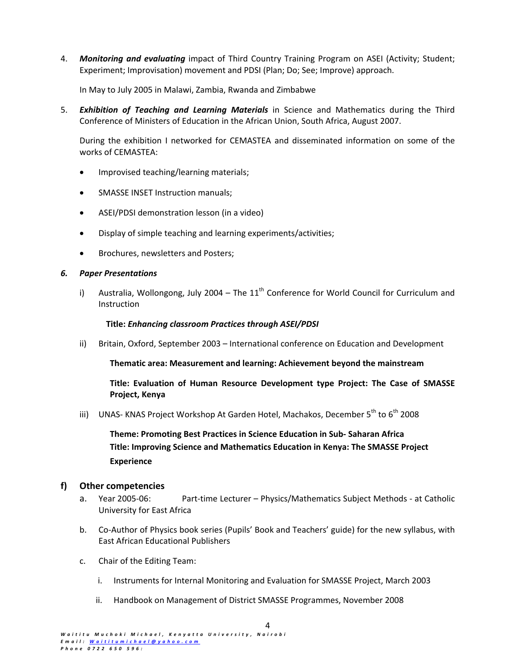4. *Monitoring and evaluating* impact of Third Country Training Program on ASEI (Activity; Student; Experiment; Improvisation) movement and PDSI (Plan; Do; See; Improve) approach.

In May to July 2005 in Malawi, Zambia, Rwanda and Zimbabwe

5. *Exhibition of Teaching and Learning Materials* in Science and Mathematics during the Third Conference of Ministers of Education in the African Union, South Africa, August 2007.

During the exhibition I networked for CEMASTEA and disseminated information on some of the works of CEMASTEA:

- Improvised teaching/learning materials;
- SMASSE INSET Instruction manuals;
- ASEI/PDSI demonstration lesson (in a video)
- Display of simple teaching and learning experiments/activities;
- Brochures, newsletters and Posters;

#### *6. Paper Presentations*

i) Australia, Wollongong, July 2004 – The  $11<sup>th</sup>$  Conference for World Council for Curriculum and Instruction

#### **Title:** *Enhancing classroom Practices through ASEI/PDSI*

ii) Britain, Oxford, September 2003 – International conference on Education and Development

**Thematic area: Measurement and learning: Achievement beyond the mainstream**

**Title: Evaluation of Human Resource Development type Project: The Case of SMASSE Project, Kenya**

iii) UNAS- KNAS Project Workshop At Garden Hotel, Machakos, December 5<sup>th</sup> to 6<sup>th</sup> 2008

**Theme: Promoting Best Practices in Science Education in Sub‐ Saharan Africa Title: Improving Science and Mathematics Education in Kenya: The SMASSE Project Experience**

#### **f) Other competencies**

- a. Year 2005‐06: Part‐time Lecturer Physics/Mathematics Subject Methods ‐ at Catholic University for East Africa
- b. Co‐Author of Physics book series (Pupils' Book and Teachers' guide) for the new syllabus, with East African Educational Publishers
- c. Chair of the Editing Team:
	- i. Instruments for Internal Monitoring and Evaluation for SMASSE Project, March 2003
	- ii. Handbook on Management of District SMASSE Programmes, November 2008